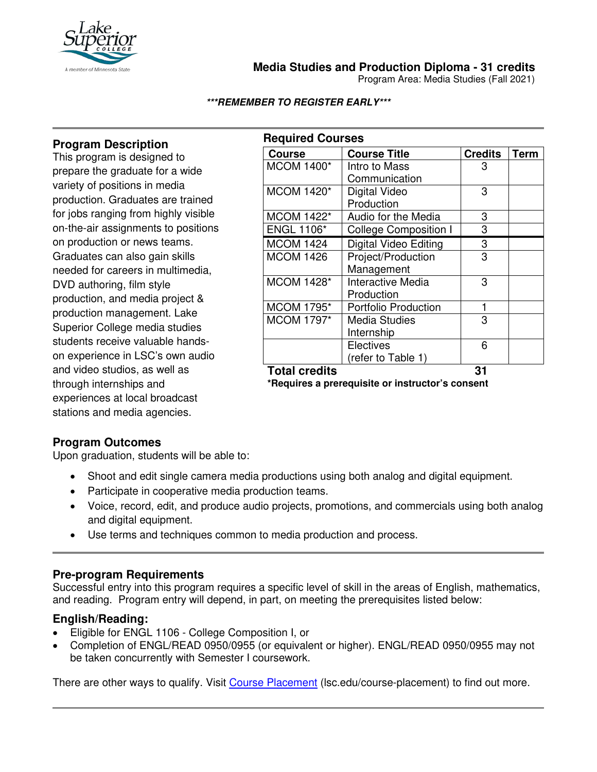

**Media Studies and Production Diploma - 31 credits**

Program Area: Media Studies (Fall 2021)

#### **\*\*\*REMEMBER TO REGISTER EARLY\*\*\***

# **Program Description**

This program is designed to prepare the graduate for a wide variety of positions in media production. Graduates are trained for jobs ranging from highly visible on-the-air assignments to positions on production or news teams. Graduates can also gain skills needed for careers in multimedia, DVD authoring, film style production, and media project & production management. Lake Superior College media studies students receive valuable handson experience in LSC's own audio and video studios, as well as through internships and experiences at local broadcast stations and media agencies.

| <b>Required Courses</b> |                              |                |             |  |
|-------------------------|------------------------------|----------------|-------------|--|
| <b>Course</b>           | <b>Course Title</b>          | <b>Credits</b> | <b>Term</b> |  |
| <b>MCOM 1400*</b>       | Intro to Mass                | 3              |             |  |
|                         | Communication                |                |             |  |
| <b>MCOM 1420*</b>       | Digital Video                | 3              |             |  |
|                         | Production                   |                |             |  |
| <b>MCOM 1422*</b>       | Audio for the Media          | 3              |             |  |
| <b>ENGL 1106*</b>       | <b>College Composition I</b> | 3              |             |  |
| <b>MCOM 1424</b>        | <b>Digital Video Editing</b> | 3              |             |  |
| <b>MCOM 1426</b>        | Project/Production           | 3              |             |  |
|                         | Management                   |                |             |  |
| <b>MCOM 1428*</b>       | Interactive Media            | 3              |             |  |
|                         | Production                   |                |             |  |
| <b>MCOM 1795*</b>       | <b>Portfolio Production</b>  | 1              |             |  |
| MCOM 1797*              | <b>Media Studies</b>         | 3              |             |  |
|                         | Internship                   |                |             |  |
|                         | <b>Electives</b>             | 6              |             |  |
|                         | (refer to Table 1)           |                |             |  |
| <b>Total credits</b>    |                              | 31             |             |  |

**\*Requires a prerequisite or instructor's consent**

### **Program Outcomes**

Upon graduation, students will be able to:

- Shoot and edit single camera media productions using both analog and digital equipment.
- Participate in cooperative media production teams.
- Voice, record, edit, and produce audio projects, promotions, and commercials using both analog and digital equipment.
- Use terms and techniques common to media production and process.

### **Pre-program Requirements**

Successful entry into this program requires a specific level of skill in the areas of English, mathematics, and reading. Program entry will depend, in part, on meeting the prerequisites listed below:

### **English/Reading:**

- Eligible for ENGL 1106 College Composition I, or
- Completion of ENGL/READ 0950/0955 (or equivalent or higher). ENGL/READ 0950/0955 may not be taken concurrently with Semester I coursework.

There are other ways to qualify. Visit [Course Placement](https://www.lsc.edu/course-placement/) (lsc.edu/course-placement) to find out more.